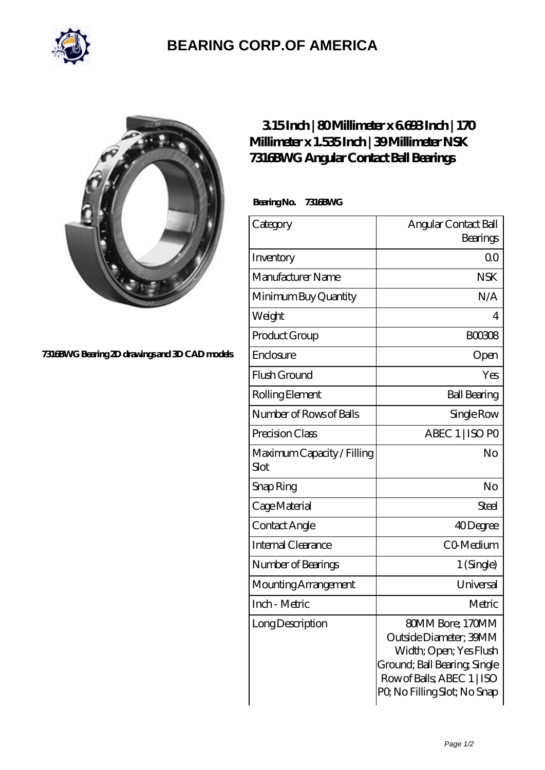

## **[BEARING CORP.OF AMERICA](https://bluemondayreview.com)**



**[7316BWG Bearing 2D drawings and 3D CAD models](https://bluemondayreview.com/pic-172786.html)**

## **[3.15 Inch | 80 Millimeter x 6.693 Inch | 170](https://bluemondayreview.com/bj-172786-nsk-7316bwg-angular-contact-ball-bearings.html) [Millimeter x 1.535 Inch | 39 Millimeter NSK](https://bluemondayreview.com/bj-172786-nsk-7316bwg-angular-contact-ball-bearings.html) [7316BWG Angular Contact Ball Bearings](https://bluemondayreview.com/bj-172786-nsk-7316bwg-angular-contact-ball-bearings.html)**

 **Bearing No. 7316BWG**

| Category                           | Angular Contact Ball                                                                                                                                              |
|------------------------------------|-------------------------------------------------------------------------------------------------------------------------------------------------------------------|
|                                    | Bearings                                                                                                                                                          |
| Inventory                          | 0 <sub>0</sub>                                                                                                                                                    |
| Manufacturer Name                  | <b>NSK</b>                                                                                                                                                        |
| Minimum Buy Quantity               | N/A                                                                                                                                                               |
| Weight                             | 4                                                                                                                                                                 |
| Product Group                      | <b>BOO308</b>                                                                                                                                                     |
| Enclosure                          | Open                                                                                                                                                              |
| Flush Ground                       | Yes                                                                                                                                                               |
| Rolling Element                    | <b>Ball Bearing</b>                                                                                                                                               |
| Number of Rows of Balls            | Single Row                                                                                                                                                        |
| Precision Class                    | ABEC 1   ISO PO                                                                                                                                                   |
| Maximum Capacity / Filling<br>Slot | No                                                                                                                                                                |
| Snap Ring                          | No                                                                                                                                                                |
| Cage Material                      | <b>Steel</b>                                                                                                                                                      |
| Contact Angle                      | 40Degree                                                                                                                                                          |
| Internal Clearance                 | CO-Medium                                                                                                                                                         |
| Number of Bearings                 | 1 (Single)                                                                                                                                                        |
| Mounting Arrangement               | Universal                                                                                                                                                         |
| Inch - Metric                      | Metric                                                                                                                                                            |
| Long Description                   | 80MM Bore; 170MM<br>Outside Diameter; 39MM<br>Width; Open; Yes Flush<br>Ground; Ball Bearing, Single<br>Row of Balls, ABEC 1   ISO<br>PQ No Filling Slot; No Snap |